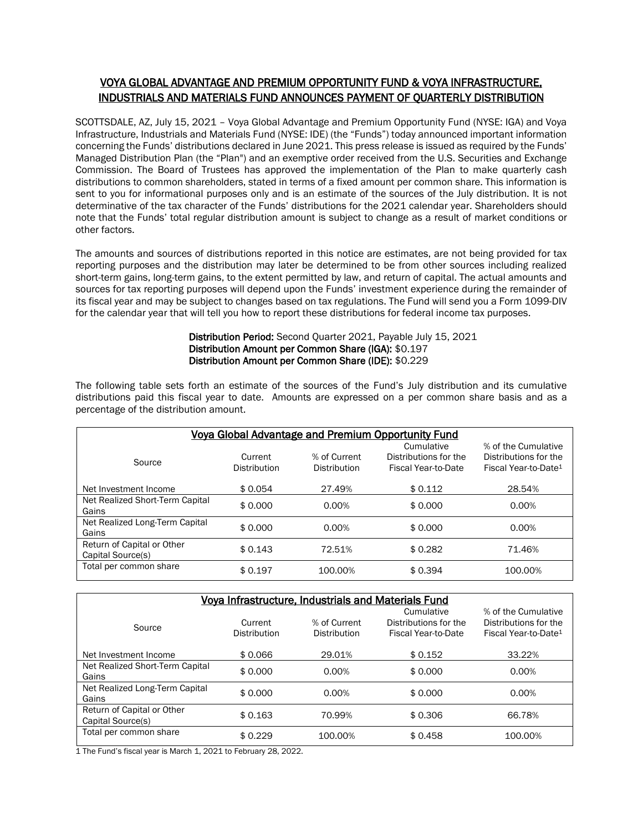# VOYA GLOBAL ADVANTAGE AND PREMIUM OPPORTUNITY FUND & VOYA INFRASTRUCTURE, INDUSTRIALS AND MATERIALS FUND ANNOUNCES PAYMENT OF QUARTERLY DISTRIBUTION

SCOTTSDALE, AZ, July 15, 2021 – Voya Global Advantage and Premium Opportunity Fund (NYSE: IGA) and Voya Infrastructure, Industrials and Materials Fund (NYSE: IDE) (the "Funds") today announced important information concerning the Funds' distributions declared in June 2021. This press release is issued as required by the Funds' Managed Distribution Plan (the "Plan") and an exemptive order received from the U.S. Securities and Exchange Commission. The Board of Trustees has approved the implementation of the Plan to make quarterly cash distributions to common shareholders, stated in terms of a fixed amount per common share. This information is sent to you for informational purposes only and is an estimate of the sources of the July distribution. It is not determinative of the tax character of the Funds' distributions for the 2021 calendar year. Shareholders should note that the Funds' total regular distribution amount is subject to change as a result of market conditions or other factors.

The amounts and sources of distributions reported in this notice are estimates, are not being provided for tax reporting purposes and the distribution may later be determined to be from other sources including realized short-term gains, long-term gains, to the extent permitted by law, and return of capital. The actual amounts and sources for tax reporting purposes will depend upon the Funds' investment experience during the remainder of its fiscal year and may be subject to changes based on tax regulations. The Fund will send you a Form 1099-DIV for the calendar year that will tell you how to report these distributions for federal income tax purposes.

### Distribution Period: Second Quarter 2021, Payable July 15, 2021 Distribution Amount per Common Share (IGA): \$0.197 Distribution Amount per Common Share (IDE): \$0.229

The following table sets forth an estimate of the sources of the Fund's July distribution and its cumulative distributions paid this fiscal year to date. Amounts are expressed on a per common share basis and as a percentage of the distribution amount.

| <b>Voya Global Advantage and Premium Opportunity Fund</b> |                                |                                     |                                                            |                                                                                  |  |  |
|-----------------------------------------------------------|--------------------------------|-------------------------------------|------------------------------------------------------------|----------------------------------------------------------------------------------|--|--|
| Source                                                    | Current<br><b>Distribution</b> | % of Current<br><b>Distribution</b> | Cumulative<br>Distributions for the<br>Fiscal Year-to-Date | % of the Cumulative<br>Distributions for the<br>Fiscal Year-to-Date <sup>1</sup> |  |  |
| Net Investment Income                                     | \$0.054                        | 27.49%                              | \$0.112                                                    | 28.54%                                                                           |  |  |
| Net Realized Short-Term Capital<br>Gains                  | \$0.000                        | 0.00%                               | \$0.000                                                    | $0.00\%$                                                                         |  |  |
| Net Realized Long-Term Capital<br>Gains                   | \$0.000                        | 0.00%                               | \$0.000                                                    | $0.00\%$                                                                         |  |  |
| Return of Capital or Other<br>Capital Source(s)           | \$0.143                        | 72.51%                              | \$0.282                                                    | 71.46%                                                                           |  |  |
| Total per common share                                    | \$0.197                        | 100.00%                             | \$0.394                                                    | 100.00%                                                                          |  |  |

| Voya Infrastructure, Industrials and Materials Fund |                                |                                     |                                                            |                                                                                  |  |  |
|-----------------------------------------------------|--------------------------------|-------------------------------------|------------------------------------------------------------|----------------------------------------------------------------------------------|--|--|
| Source                                              | Current<br><b>Distribution</b> | % of Current<br><b>Distribution</b> | Cumulative<br>Distributions for the<br>Fiscal Year-to-Date | % of the Cumulative<br>Distributions for the<br>Fiscal Year-to-Date <sup>1</sup> |  |  |
| Net Investment Income                               | \$0.066                        | 29.01%                              | \$0.152                                                    | 33.22%                                                                           |  |  |
| Net Realized Short-Term Capital<br>Gains            | \$0.000                        | 0.00%                               | \$0.000                                                    | $0.00\%$                                                                         |  |  |
| Net Realized Long-Term Capital<br>Gains             | \$0.000                        | 0.00%                               | \$0.000                                                    | $0.00\%$                                                                         |  |  |
| Return of Capital or Other<br>Capital Source(s)     | \$0.163                        | 70.99%                              | \$0.306                                                    | 66.78%                                                                           |  |  |
| Total per common share                              | \$0.229                        | 100.00%                             | \$0.458                                                    | 100.00%                                                                          |  |  |

1 The Fund's fiscal year is March 1, 2021 to February 28, 2022.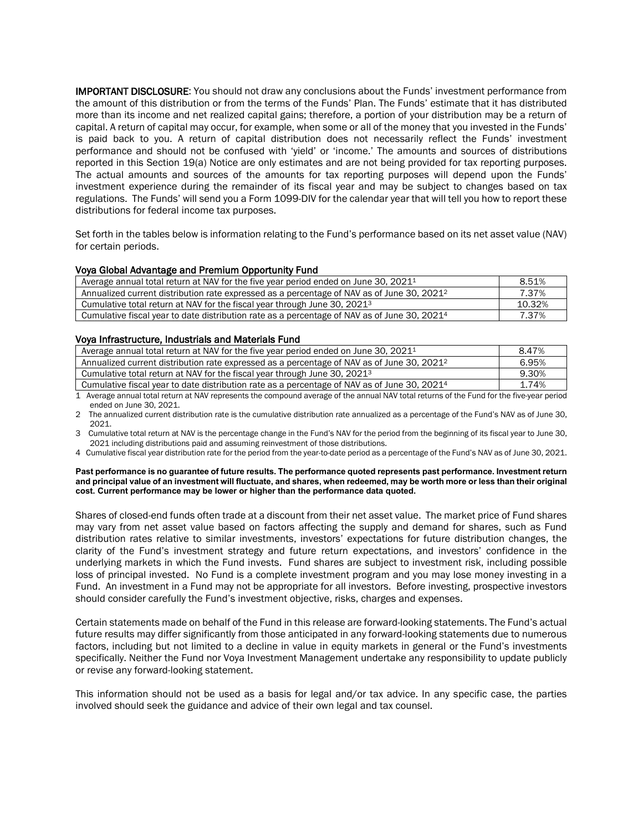IMPORTANT DISCLOSURE: You should not draw any conclusions about the Funds' investment performance from the amount of this distribution or from the terms of the Funds' Plan. The Funds' estimate that it has distributed more than its income and net realized capital gains; therefore, a portion of your distribution may be a return of capital. A return of capital may occur, for example, when some or all of the money that you invested in the Funds' is paid back to you. A return of capital distribution does not necessarily reflect the Funds' investment performance and should not be confused with 'yield' or 'income.' The amounts and sources of distributions reported in this Section 19(a) Notice are only estimates and are not being provided for tax reporting purposes. The actual amounts and sources of the amounts for tax reporting purposes will depend upon the Funds' investment experience during the remainder of its fiscal year and may be subject to changes based on tax regulations. The Funds' will send you a Form 1099-DIV for the calendar year that will tell you how to report these distributions for federal income tax purposes.

Set forth in the tables below is information relating to the Fund's performance based on its net asset value (NAV) for certain periods.

#### Voya Global Advantage and Premium Opportunity Fund

| Average annual total return at NAV for the five year period ended on June 30, 2021 <sup>1</sup>          |        |  |
|----------------------------------------------------------------------------------------------------------|--------|--|
| Annualized current distribution rate expressed as a percentage of NAV as of June 30, 2021 <sup>2</sup>   | 7.37%  |  |
| Cumulative total return at NAV for the fiscal year through June 30, 2021 <sup>3</sup>                    | 10.32% |  |
| Cumulative fiscal year to date distribution rate as a percentage of NAV as of June 30, 2021 <sup>4</sup> | 7.37%  |  |

#### Voya Infrastructure, Industrials and Materials Fund

| Average annual total return at NAV for the five year period ended on June 30, 2021 <sup>1</sup>          |       |  |
|----------------------------------------------------------------------------------------------------------|-------|--|
| Annualized current distribution rate expressed as a percentage of NAV as of June 30, 2021 <sup>2</sup>   | 6.95% |  |
| Cumulative total return at NAV for the fiscal year through June 30, 2021 <sup>3</sup>                    |       |  |
| Cumulative fiscal year to date distribution rate as a percentage of NAV as of June 30, 2021 <sup>4</sup> |       |  |

1 Average annual total return at NAV represents the compound average of the annual NAV total returns of the Fund for the five-year period ended on June 30, 2021.

2 The annualized current distribution rate is the cumulative distribution rate annualized as a percentage of the Fund's NAV as of June 30, 2021.

3 Cumulative total return at NAV is the percentage change in the Fund's NAV for the period from the beginning of its fiscal year to June 30, 2021 including distributions paid and assuming reinvestment of those distributions.

4 Cumulative fiscal year distribution rate for the period from the year-to-date period as a percentage of the Fund's NAV as of June 30, 2021.

**Past performance is no guarantee of future results. The performance quoted represents past performance. Investment return and principal value of an investment will fluctuate, and shares, when redeemed, may be worth more or less than their original cost. Current performance may be lower or higher than the performance data quoted.**

Shares of closed-end funds often trade at a discount from their net asset value. The market price of Fund shares may vary from net asset value based on factors affecting the supply and demand for shares, such as Fund distribution rates relative to similar investments, investors' expectations for future distribution changes, the clarity of the Fund's investment strategy and future return expectations, and investors' confidence in the underlying markets in which the Fund invests. Fund shares are subject to investment risk, including possible loss of principal invested. No Fund is a complete investment program and you may lose money investing in a Fund. An investment in a Fund may not be appropriate for all investors. Before investing, prospective investors should consider carefully the Fund's investment objective, risks, charges and expenses.

Certain statements made on behalf of the Fund in this release are forward-looking statements. The Fund's actual future results may differ significantly from those anticipated in any forward-looking statements due to numerous factors, including but not limited to a decline in value in equity markets in general or the Fund's investments specifically. Neither the Fund nor Voya Investment Management undertake any responsibility to update publicly or revise any forward-looking statement.

This information should not be used as a basis for legal and/or tax advice. In any specific case, the parties involved should seek the guidance and advice of their own legal and tax counsel.